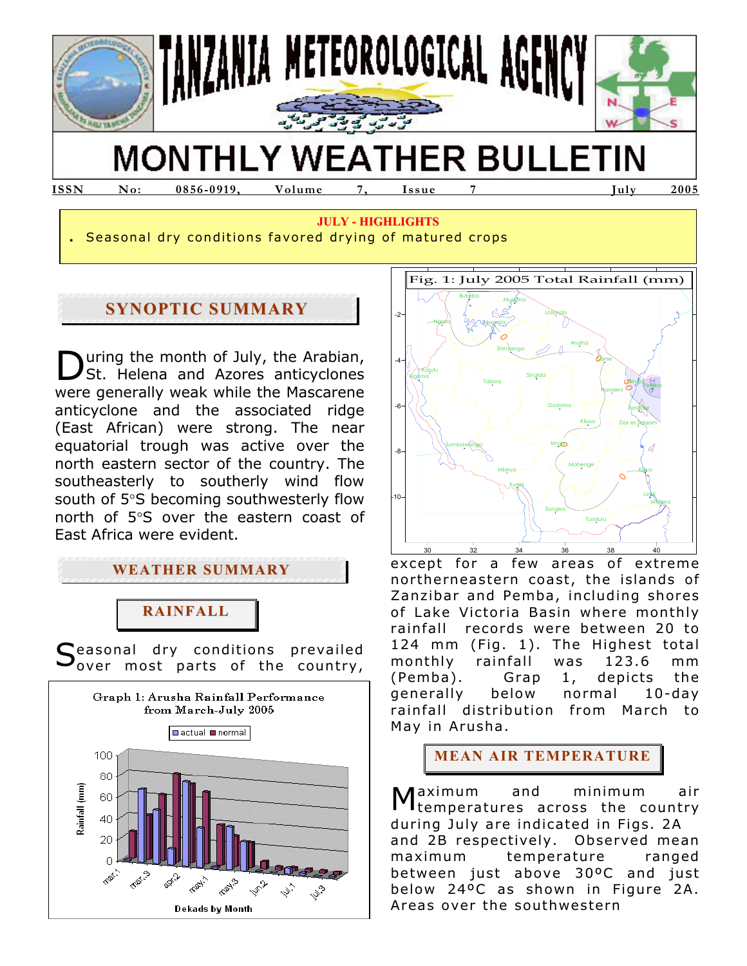

# **MONTHLY WEATHER BULLETIN**

**JULY - HIGHLIGHTS**

**ISSN No: 0856-0919, Volume 7, Issue 7 July 2005** 

**.** Seasonal dry conditions favored drying of matured crops

## **SYNOPTIC SUMMARY**

uring the month of July, the Arabian, St. Helena and Azores anticyclones were generally weak while the Mascarene anticyclone and the associated ridge (East African) were strong. The near equatorial trough was active over the north eastern sector of the country. The southeasterly to southerly wind flow south of 5°S becoming southwesterly flow north of 5°S over the eastern coast of East Africa were evident. D

**WEATHER SUMMARY**

## **RAINFALL**

Seasonal dry conditions prevailed<br>Sover most parts of the country, over most parts of the country,





except for a few areas of extreme northerneastern coast, the islands of Zanzibar and Pemba, including shores of Lake Victoria Basin where monthly rainfall records were between 20 to 124 mm (Fig. 1). The Highest total monthly rainfall was 123.6 mm (Pemba). Grap 1, depicts the generally below normal 10-day rainfall distribution from March to May in Arusha.

**MEAN AIR TEMPERATURE**

aximum and minimum air temperatures across the country during July are indicated in Figs. 2A and 2B respectively. Observed mean maximum temperature ranged between just above 30ºC and just below 24ºC as shown in Figure 2A. Areas over the southwestern M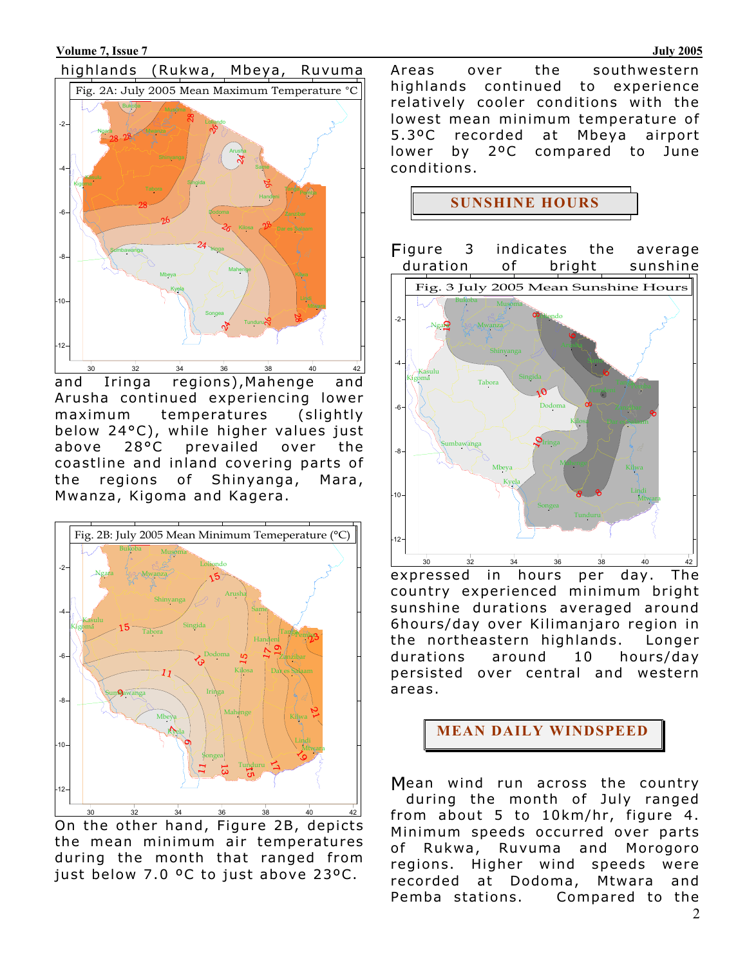

and Iringa regions),Mahenge and Arusha continued experiencing lower maximum temperatures (slightly below 24°C), while higher values just above 28°C prevailed over the coastline and inland covering parts of the regions of Shinyanga, Mara, Mwanza, Kigoma and Kagera.



On the other hand, Figure 2B, depicts the mean minimum air temperatures during the month that ranged from just below 7.0 ºC to just above 23ºC.

Areas over the southwestern highlands continued to experience relatively cooler conditions with the lowest mean minimum temperature of 5.3ºC recorded at Mbeya airport lower by 2ºC compared to June conditions.

**SUNSHINE HOURS** 



expressed in hours per day. The country experienced minimum bright sunshine durations averaged around 6hours/day over Kilimanjaro region in the northeastern highlands. Longer durations around 10 hours/day persisted over central and western areas.



Mean wind run across the country during the month of July ranged from about 5 to 10km/hr, figure 4. Minimum speeds occurred over parts of Rukwa, Ruvuma and Morogoro regions. Higher wind speeds were recorded at Dodoma, Mtwara and Pemba stations. Compared to the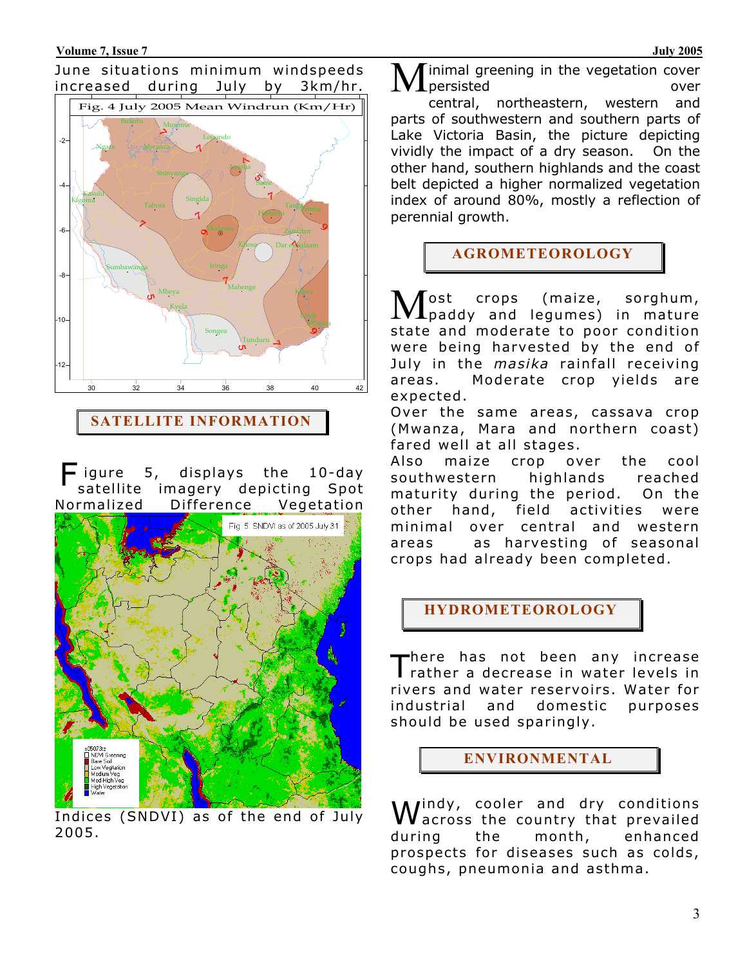#### June situations minimum windspeeds increased during July by 3km/hr.



**SATELLITE INFORMATION**

igure 5, displays the 10-day satellite imagery depicting Spot Normalized Difference Vegetation F



Indices (SNDVI) as of the end of July 2005.

inimal greening in the vegetation cover persisted over central, northeastern, western and parts of southwestern and southern parts of Lake Victoria Basin, the picture depicting vividly the impact of a dry season. On the other hand, southern highlands and the coast belt depicted a higher normalized vegetation index of around 80%, mostly a reflection of perennial growth. M

### **AGROMETEOROLOGY**

ost crops (maize, sorghum, Most crops (maize, sorghum,<br>Mpaddy and legumes) in mature state and moderate to poor condition were being harvested by the end of July in the *masika* rainfall receiving areas. Moderate crop yields are expected.

Over the same areas, cassava crop (Mwanza, Mara and northern coast) fared well at all stages.

Also maize crop over the cool southwestern highlands reached maturity during the period. On the other hand, field activities were minimal over central and western areas as harvesting of seasonal crops had already been completed.

**HYDROMETEOROLOGY**

here has not been any increase There has not been any increase<br> $\Gamma$  rather a decrease in water levels in rivers and water reservoirs. Water for industrial and domestic purposes should be used sparingly.

**ENVIRONMENTAL**

Windy, cooler and dry conditions<br>Wacross the country that prevailed across the country that prevailed during the month, enhanced prospects for diseases such as colds, coughs, pneumonia and asthma.